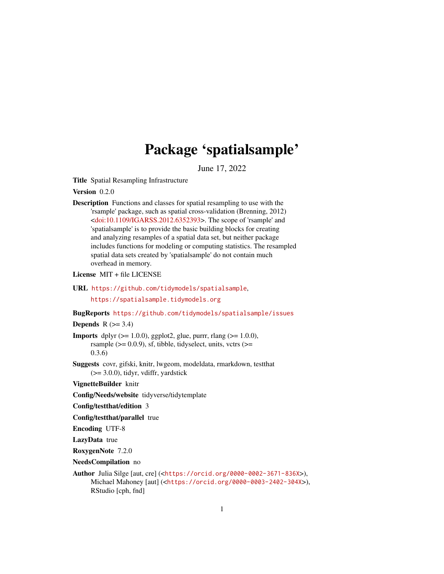# Package 'spatialsample'

June 17, 2022

<span id="page-0-0"></span>Title Spatial Resampling Infrastructure

Version 0.2.0

Description Functions and classes for spatial resampling to use with the 'rsample' package, such as spatial cross-validation (Brenning, 2012)  $\langle \text{doi:10.1109/IGARSS}.2012.6352393 \rangle$ . The scope of 'rsample' and 'spatialsample' is to provide the basic building blocks for creating and analyzing resamples of a spatial data set, but neither package includes functions for modeling or computing statistics. The resampled spatial data sets created by 'spatialsample' do not contain much overhead in memory.

License MIT + file LICENSE

URL <https://github.com/tidymodels/spatialsample>, <https://spatialsample.tidymodels.org>

BugReports <https://github.com/tidymodels/spatialsample/issues>

# Depends  $R$  ( $>= 3.4$ )

**Imports** dplyr  $(>= 1.0.0)$ , ggplot2, glue, purrr, rlang  $(>= 1.0.0)$ , rsample ( $>= 0.0.9$ ), sf, tibble, tidyselect, units, vctrs ( $>=$ 0.3.6)

Suggests covr, gifski, knitr, lwgeom, modeldata, rmarkdown, testthat (>= 3.0.0), tidyr, vdiffr, yardstick

VignetteBuilder knitr

Config/Needs/website tidyverse/tidytemplate

Config/testthat/edition 3

Config/testthat/parallel true

Encoding UTF-8

LazyData true

RoxygenNote 7.2.0

NeedsCompilation no

Author Julia Silge [aut, cre] (<<https://orcid.org/0000-0002-3671-836X>>), Michael Mahoney [aut] (<<https://orcid.org/0000-0003-2402-304X>>), RStudio [cph, fnd]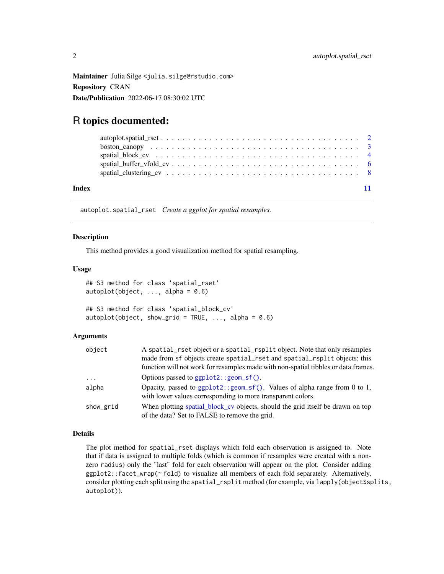<span id="page-1-0"></span>Maintainer Julia Silge <julia.silge@rstudio.com> Repository CRAN Date/Publication 2022-06-17 08:30:02 UTC

# R topics documented:

| Index |  |
|-------|--|

autoplot.spatial\_rset *Create a ggplot for spatial resamples.*

# Description

This method provides a good visualization method for spatial resampling.

### Usage

```
## S3 method for class 'spatial_rset'
autoplot(object, ..., alpha = 0.6)## S3 method for class 'spatial_block_cv'
autoplot(object, show_grid = TRUE, \ldots, alpha = 0.6)
```
# Arguments

| object    | A spatial_rset object or a spatial_rsplit object. Note that only resamples<br>made from sf objects create spatial_rset and spatial_rsplit objects; this<br>function will not work for resamples made with non-spatial tibbles or data.frames. |
|-----------|-----------------------------------------------------------------------------------------------------------------------------------------------------------------------------------------------------------------------------------------------|
| $\ddots$  | Options passed to $ggplot2::geom_sf()$ .                                                                                                                                                                                                      |
| alpha     | Opacity, passed to $ggplot2$ : : $geom_s f()$ . Values of alpha range from 0 to 1,<br>with lower values corresponding to more transparent colors.                                                                                             |
| show_grid | When plotting spatial block cv objects, should the grid itself be drawn on top<br>of the data? Set to FALSE to remove the grid.                                                                                                               |

# Details

The plot method for spatial\_rset displays which fold each observation is assigned to. Note that if data is assigned to multiple folds (which is common if resamples were created with a nonzero radius) only the "last" fold for each observation will appear on the plot. Consider adding ggplot2::facet\_wrap(~ fold) to visualize all members of each fold separately. Alternatively, consider plotting each split using the spatial\_rsplit method (for example, via lapply(object\$splits, autoplot)).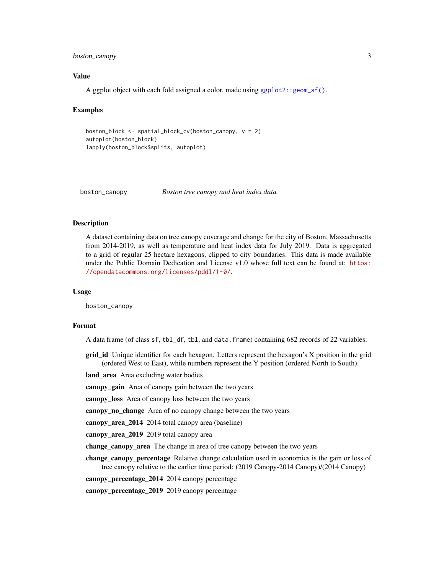# <span id="page-2-0"></span>boston\_canopy 3

# Value

A ggplot object with each fold assigned a color, made using [ggplot2::geom\\_sf\(\)](#page-0-0).

#### Examples

```
boston_block <- spatial_block_cv(boston_canopy, v = 2)
autoplot(boston_block)
lapply(boston_block$splits, autoplot)
```
boston\_canopy *Boston tree canopy and heat index data.*

### Description

A dataset containing data on tree canopy coverage and change for the city of Boston, Massachusetts from 2014-2019, as well as temperature and heat index data for July 2019. Data is aggregated to a grid of regular 25 hectare hexagons, clipped to city boundaries. This data is made available under the Public Domain Dedication and License v1.0 whose full text can be found at: [https:](https://opendatacommons.org/licenses/pddl/1-0/) [//opendatacommons.org/licenses/pddl/1-0/](https://opendatacommons.org/licenses/pddl/1-0/).

#### Usage

boston\_canopy

#### Format

A data frame (of class sf, tbl\_df, tbl, and data.frame) containing 682 records of 22 variables:

grid\_id Unique identifier for each hexagon. Letters represent the hexagon's X position in the grid (ordered West to East), while numbers represent the Y position (ordered North to South).

land\_area Area excluding water bodies

canopy\_gain Area of canopy gain between the two years

canopy\_loss Area of canopy loss between the two years

canopy\_no\_change Area of no canopy change between the two years

canopy\_area\_2014 2014 total canopy area (baseline)

canopy\_area\_2019 2019 total canopy area

change\_canopy\_area The change in area of tree canopy between the two years

change\_canopy\_percentage Relative change calculation used in economics is the gain or loss of tree canopy relative to the earlier time period: (2019 Canopy-2014 Canopy)/(2014 Canopy)

canopy\_percentage\_2014 2014 canopy percentage

canopy\_percentage\_2019 2019 canopy percentage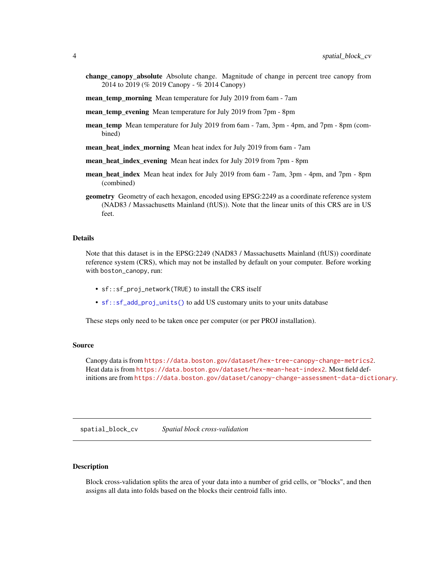- <span id="page-3-0"></span>change\_canopy\_absolute Absolute change. Magnitude of change in percent tree canopy from 2014 to 2019 (% 2019 Canopy - % 2014 Canopy)
- mean\_temp\_morning Mean temperature for July 2019 from 6am 7am
- mean\_temp\_evening Mean temperature for July 2019 from 7pm 8pm
- mean\_temp Mean temperature for July 2019 from 6am 7am, 3pm 4pm, and 7pm 8pm (combined)
- mean\_heat\_index\_morning Mean heat index for July 2019 from 6am 7am
- mean heat index evening Mean heat index for July 2019 from 7pm 8pm
- mean\_heat\_index Mean heat index for July 2019 from 6am 7am, 3pm 4pm, and 7pm 8pm (combined)
- geometry Geometry of each hexagon, encoded using EPSG:2249 as a coordinate reference system (NAD83 / Massachusetts Mainland (ftUS)). Note that the linear units of this CRS are in US feet.

#### Details

Note that this dataset is in the EPSG:2249 (NAD83 / Massachusetts Mainland (ftUS)) coordinate reference system (CRS), which may not be installed by default on your computer. Before working with boston\_canopy, run:

- sf::sf\_proj\_network(TRUE) to install the CRS itself
- [sf::sf\\_add\\_proj\\_units\(\)](#page-0-0) to add US customary units to your units database

These steps only need to be taken once per computer (or per PROJ installation).

#### Source

Canopy data is from <https://data.boston.gov/dataset/hex-tree-canopy-change-metrics2>. Heat data is from <https://data.boston.gov/dataset/hex-mean-heat-index2>. Most field definitions are from <https://data.boston.gov/dataset/canopy-change-assessment-data-dictionary>.

<span id="page-3-1"></span>spatial\_block\_cv *Spatial block cross-validation*

### Description

Block cross-validation splits the area of your data into a number of grid cells, or "blocks", and then assigns all data into folds based on the blocks their centroid falls into.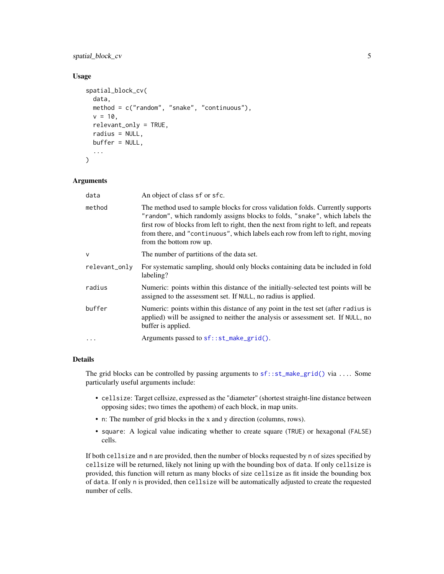# <span id="page-4-0"></span>spatial\_block\_cv 5

# Usage

```
spatial_block_cv(
  data,
 method = c("random", "snake", "continuous"),
  v = 10,
  relevant_only = TRUE,
  radius = NULL,
 buffer = NULL,
  ...
\mathcal{L}
```
# Arguments

| data          | An object of class sf or sfc.                                                                                                                                                                                                                                                                                                                                        |
|---------------|----------------------------------------------------------------------------------------------------------------------------------------------------------------------------------------------------------------------------------------------------------------------------------------------------------------------------------------------------------------------|
| method        | The method used to sample blocks for cross validation folds. Currently supports<br>"random", which randomly assigns blocks to folds, "snake", which labels the<br>first row of blocks from left to right, then the next from right to left, and repeats<br>from there, and "continuous", which labels each row from left to right, moving<br>from the bottom row up. |
| v             | The number of partitions of the data set.                                                                                                                                                                                                                                                                                                                            |
| relevant_only | For systematic sampling, should only blocks containing data be included in fold<br>labeling?                                                                                                                                                                                                                                                                         |
| radius        | Numeric: points within this distance of the initially-selected test points will be<br>assigned to the assessment set. If NULL, no radius is applied.                                                                                                                                                                                                                 |
| buffer        | Numeric: points within this distance of any point in the test set (after radius is<br>applied) will be assigned to neither the analysis or assessment set. If NULL, no<br>buffer is applied.                                                                                                                                                                         |
| .             | Arguments passed to sf:: st_make_grid().                                                                                                                                                                                                                                                                                                                             |

# Details

The grid blocks can be controlled by passing arguments to [sf::st\\_make\\_grid\(\)](#page-0-0) via .... Some particularly useful arguments include:

- cellsize: Target cellsize, expressed as the "diameter" (shortest straight-line distance between opposing sides; two times the apothem) of each block, in map units.
- n: The number of grid blocks in the x and y direction (columns, rows).
- square: A logical value indicating whether to create square (TRUE) or hexagonal (FALSE) cells.

If both cellsize and n are provided, then the number of blocks requested by n of sizes specified by cellsize will be returned, likely not lining up with the bounding box of data. If only cellsize is provided, this function will return as many blocks of size cellsize as fit inside the bounding box of data. If only n is provided, then cellsize will be automatically adjusted to create the requested number of cells.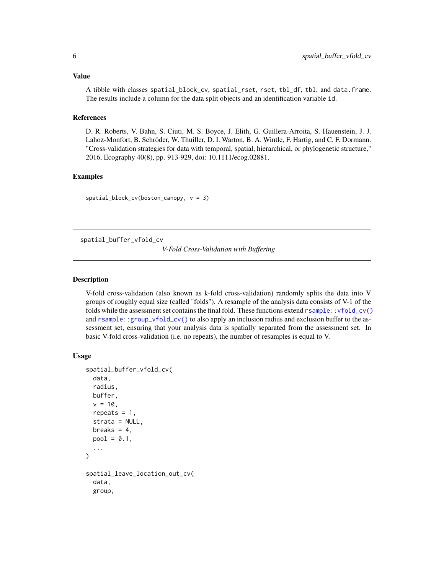# <span id="page-5-0"></span>Value

A tibble with classes spatial\_block\_cv, spatial\_rset, rset, tbl\_df, tbl, and data.frame. The results include a column for the data split objects and an identification variable id.

# References

D. R. Roberts, V. Bahn, S. Ciuti, M. S. Boyce, J. Elith, G. Guillera-Arroita, S. Hauenstein, J. J. Lahoz-Monfort, B. Schröder, W. Thuiller, D. I. Warton, B. A. Wintle, F. Hartig, and C. F. Dormann. "Cross-validation strategies for data with temporal, spatial, hierarchical, or phylogenetic structure," 2016, Ecography 40(8), pp. 913-929, doi: 10.1111/ecog.02881.

# Examples

spatial\_block\_cv(boston\_canopy, v = 3)

spatial\_buffer\_vfold\_cv

*V-Fold Cross-Validation with Buffering*

# Description

V-fold cross-validation (also known as k-fold cross-validation) randomly splits the data into V groups of roughly equal size (called "folds"). A resample of the analysis data consists of V-1 of the folds while the assessment set contains the final fold. These functions extend  $rsample::vfold\_cv()$ and [rsample::group\\_vfold\\_cv\(\)](#page-0-0) to also apply an inclusion radius and exclusion buffer to the assessment set, ensuring that your analysis data is spatially separated from the assessment set. In basic V-fold cross-validation (i.e. no repeats), the number of resamples is equal to V.

#### Usage

```
spatial_buffer_vfold_cv(
  data,
  radius,
 buffer,
  v = 10,
  repeats = 1,
  strata = NULL,
 breaks = 4,
 pool = 0.1,
  ...
)
spatial_leave_location_out_cv(
  data,
  group,
```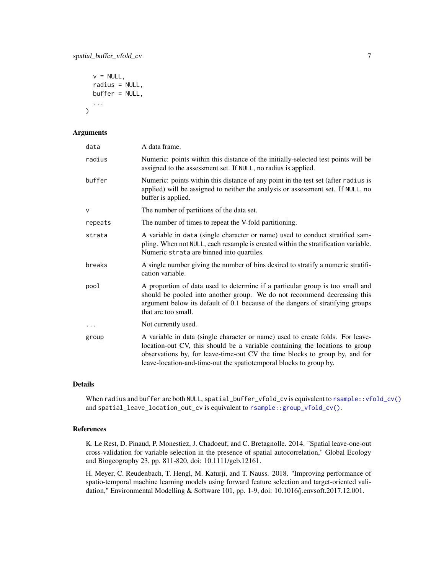```
v = NULL,radius = NULL,
buffer = NULL,
...
```
# Arguments

)

| data     | A data frame.                                                                                                                                                                                                                                                                                                       |
|----------|---------------------------------------------------------------------------------------------------------------------------------------------------------------------------------------------------------------------------------------------------------------------------------------------------------------------|
| radius   | Numeric: points within this distance of the initially-selected test points will be<br>assigned to the assessment set. If NULL, no radius is applied.                                                                                                                                                                |
| buffer   | Numeric: points within this distance of any point in the test set (after radius is<br>applied) will be assigned to neither the analysis or assessment set. If NULL, no<br>buffer is applied.                                                                                                                        |
| V        | The number of partitions of the data set.                                                                                                                                                                                                                                                                           |
| repeats  | The number of times to repeat the V-fold partitioning.                                                                                                                                                                                                                                                              |
| strata   | A variable in data (single character or name) used to conduct stratified sam-<br>pling. When not NULL, each resample is created within the stratification variable.<br>Numeric strata are binned into quartiles.                                                                                                    |
| breaks   | A single number giving the number of bins desired to stratify a numeric stratifi-<br>cation variable.                                                                                                                                                                                                               |
| pool     | A proportion of data used to determine if a particular group is too small and<br>should be pooled into another group. We do not recommend decreasing this<br>argument below its default of 0.1 because of the dangers of stratifying groups<br>that are too small.                                                  |
| $\ddots$ | Not currently used.                                                                                                                                                                                                                                                                                                 |
| group    | A variable in data (single character or name) used to create folds. For leave-<br>location-out CV, this should be a variable containing the locations to group<br>observations by, for leave-time-out CV the time blocks to group by, and for<br>leave-location-and-time-out the spatiotemporal blocks to group by. |

### Details

When radius and buffer are both NULL, spatial\_buffer\_vfold\_cv is equivalent to [rsample::vfold\\_cv\(\)](#page-0-0) and spatial\_leave\_location\_out\_cv is equivalent to [rsample::group\\_vfold\\_cv\(\)](#page-0-0).

# References

K. Le Rest, D. Pinaud, P. Monestiez, J. Chadoeuf, and C. Bretagnolle. 2014. "Spatial leave-one-out cross-validation for variable selection in the presence of spatial autocorrelation," Global Ecology and Biogeography 23, pp. 811-820, doi: 10.1111/geb.12161.

H. Meyer, C. Reudenbach, T. Hengl, M. Katurji, and T. Nauss. 2018. "Improving performance of spatio-temporal machine learning models using forward feature selection and target-oriented validation," Environmental Modelling & Software 101, pp. 1-9, doi: 10.1016/j.envsoft.2017.12.001.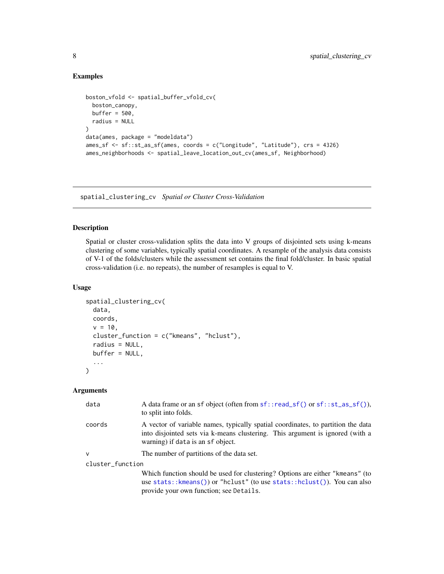# Examples

```
boston_vfold <- spatial_buffer_vfold_cv(
  boston_canopy,
 buffer = 500,
  radius = NULL
\lambdadata(ames, package = "modeldata")
ames_sf <- sf::st_as_sf(ames, coords = c("Longitude", "Latitude"), crs = 4326)
ames_neighborhoods <- spatial_leave_location_out_cv(ames_sf, Neighborhood)
```
spatial\_clustering\_cv *Spatial or Cluster Cross-Validation*

# Description

Spatial or cluster cross-validation splits the data into V groups of disjointed sets using k-means clustering of some variables, typically spatial coordinates. A resample of the analysis data consists of V-1 of the folds/clusters while the assessment set contains the final fold/cluster. In basic spatial cross-validation (i.e. no repeats), the number of resamples is equal to V.

### Usage

```
spatial_clustering_cv(
  data,
  coords,
  v = 10,
 cluster_function = c("kmeans", "hclust"),
  radius = NULL,
 buffer = NULL,
  ...
\mathcal{L}
```
# Arguments

| data             | A data frame or an sf object (often from $sf::read_ssf()$ or $sf::st_ssf(s)$ ),<br>to split into folds.                                                                                                |
|------------------|--------------------------------------------------------------------------------------------------------------------------------------------------------------------------------------------------------|
| coords           | A vector of variable names, typically spatial coordinates, to partition the data<br>into disjointed sets via k-means clustering. This argument is ignored (with a<br>warning) if data is an sf object. |
| $\mathsf{v}$     | The number of partitions of the data set.                                                                                                                                                              |
| cluster_function |                                                                                                                                                                                                        |
|                  | Which function should be used for clustering? Options are either "kmeans" (to                                                                                                                          |
|                  | use stats:: kmeans()) or "hclust" (to use stats:: hclust()). You can also                                                                                                                              |
|                  | provide your own function; see Details.                                                                                                                                                                |

<span id="page-7-0"></span>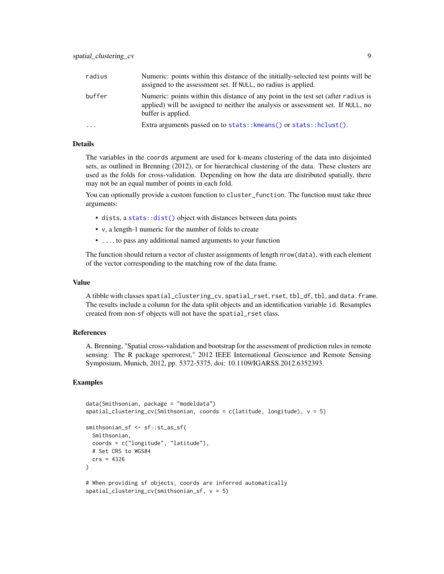<span id="page-8-0"></span>

| radius | Numeric: points within this distance of the initially-selected test points will be<br>assigned to the assessment set. If NULL, no radius is applied.                                         |
|--------|----------------------------------------------------------------------------------------------------------------------------------------------------------------------------------------------|
| buffer | Numeric: points within this distance of any point in the test set (after radius is<br>applied) will be assigned to neither the analysis or assessment set. If NULL, no<br>buffer is applied. |
| .      | Extra arguments passed on to stats:: $k$ means() or stats:: $h$ clust().                                                                                                                     |

# Details

The variables in the coords argument are used for k-means clustering of the data into disjointed sets, as outlined in Brenning (2012), or for hierarchical clustering of the data. These clusters are used as the folds for cross-validation. Depending on how the data are distributed spatially, there may not be an equal number of points in each fold.

You can optionally provide a custom function to cluster\_function. The function must take three arguments:

- dists, a [stats::dist\(\)](#page-0-0) object with distances between data points
- v, a length-1 numeric for the number of folds to create
- ..., to pass any additional named arguments to your function

The function should return a vector of cluster assignments of length nrow(data), with each element of the vector corresponding to the matching row of the data frame.

# Value

A tibble with classes spatial\_clustering\_cv, spatial\_rset, rset, tbl\_df, tbl, and data.frame. The results include a column for the data split objects and an identification variable id. Resamples created from non-sf objects will not have the spatial\_rset class.

#### References

A. Brenning, "Spatial cross-validation and bootstrap for the assessment of prediction rules in remote sensing: The R package sperrorest," 2012 IEEE International Geoscience and Remote Sensing Symposium, Munich, 2012, pp. 5372-5375, doi: 10.1109/IGARSS.2012.6352393.

# Examples

```
data(Smithsonian, package = "modeldata")
spatial_clustering_cv(Smithsonian, coords = c(latitude, longitude), v = 5)
smithsonian_sf <- sf::st_as_sf(
 Smithsonian,
 coords = c("longitude", "latitude"),
 # Set CRS to WGS84
 crs = 4326
\lambda# When providing sf objects, coords are inferred automatically
spatial_clustering_cv(smithsonian_sf, v = 5)
```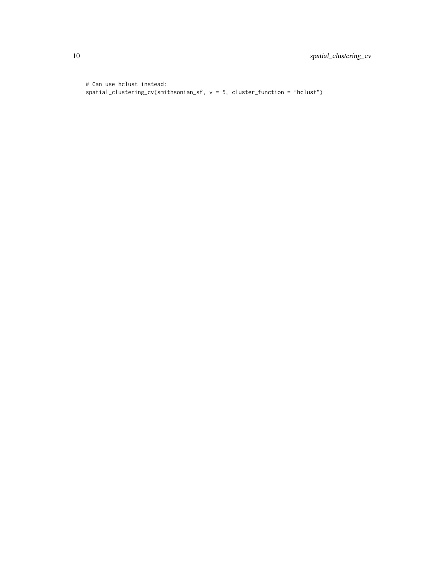# Can use hclust instead: spatial\_clustering\_cv(smithsonian\_sf, v = 5, cluster\_function = "hclust")